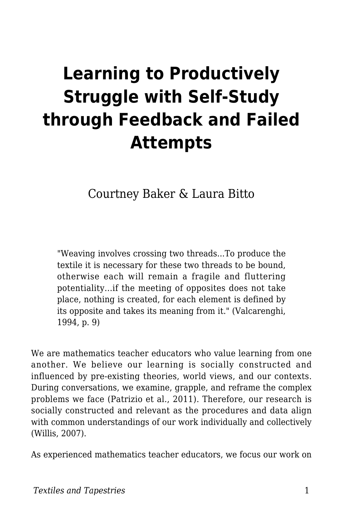# **Learning to Productively Struggle with Self-Study through Feedback and Failed Attempts**

Courtney Baker & Laura Bitto

"Weaving involves crossing two threads...To produce the textile it is necessary for these two threads to be bound, otherwise each will remain a fragile and fluttering potentiality...if the meeting of opposites does not take place, nothing is created, for each element is defined by its opposite and takes its meaning from it." (Valcarenghi, 1994, p. 9)

We are mathematics teacher educators who value learning from one another. We believe our learning is socially constructed and influenced by pre-existing theories, world views, and our contexts. During conversations, we examine, grapple, and reframe the complex problems we face (Patrizio et al., 2011). Therefore, our research is socially constructed and relevant as the procedures and data align with common understandings of our work individually and collectively (Willis, 2007).

As experienced mathematics teacher educators, we focus our work on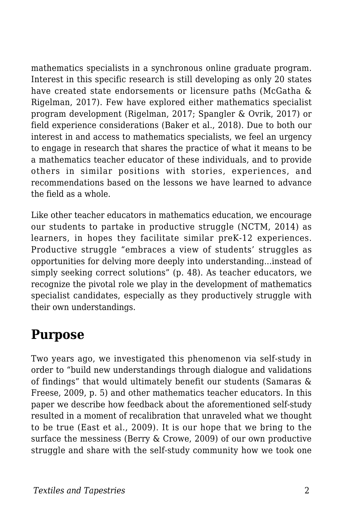mathematics specialists in a synchronous online graduate program. Interest in this specific research is still developing as only 20 states have created state endorsements or licensure paths (McGatha & Rigelman, 2017). Few have explored either mathematics specialist program development (Rigelman, 2017; Spangler & Ovrik, 2017) or field experience considerations (Baker et al., 2018). Due to both our interest in and access to mathematics specialists, we feel an urgency to engage in research that shares the practice of what it means to be a mathematics teacher educator of these individuals, and to provide others in similar positions with stories, experiences, and recommendations based on the lessons we have learned to advance the field as a whole.

Like other teacher educators in mathematics education, we encourage our students to partake in productive struggle (NCTM, 2014) as learners, in hopes they facilitate similar preK-12 experiences. Productive struggle "embraces a view of students' struggles as opportunities for delving more deeply into understanding...instead of simply seeking correct solutions" (p. 48). As teacher educators, we recognize the pivotal role we play in the development of mathematics specialist candidates, especially as they productively struggle with their own understandings.

### **Purpose**

Two years ago, we investigated this phenomenon via self-study in order to "build new understandings through dialogue and validations of findings" that would ultimately benefit our students (Samaras & Freese, 2009, p. 5) and other mathematics teacher educators. In this paper we describe how feedback about the aforementioned self-study resulted in a moment of recalibration that unraveled what we thought to be true (East et al., 2009). It is our hope that we bring to the surface the messiness (Berry & Crowe, 2009) of our own productive struggle and share with the self-study community how we took one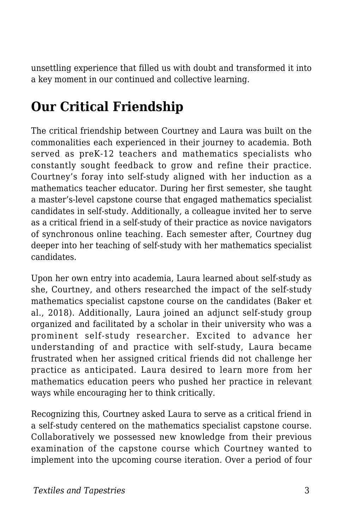unsettling experience that filled us with doubt and transformed it into a key moment in our continued and collective learning.

# **Our Critical Friendship**

The critical friendship between Courtney and Laura was built on the commonalities each experienced in their journey to academia. Both served as preK-12 teachers and mathematics specialists who constantly sought feedback to grow and refine their practice. Courtney's foray into self-study aligned with her induction as a mathematics teacher educator. During her first semester, she taught a master's-level capstone course that engaged mathematics specialist candidates in self-study. Additionally, a colleague invited her to serve as a critical friend in a self-study of their practice as novice navigators of synchronous online teaching. Each semester after, Courtney dug deeper into her teaching of self-study with her mathematics specialist candidates.

Upon her own entry into academia, Laura learned about self-study as she, Courtney, and others researched the impact of the self-study mathematics specialist capstone course on the candidates (Baker et al., 2018). Additionally, Laura joined an adjunct self-study group organized and facilitated by a scholar in their university who was a prominent self-study researcher. Excited to advance her understanding of and practice with self-study, Laura became frustrated when her assigned critical friends did not challenge her practice as anticipated. Laura desired to learn more from her mathematics education peers who pushed her practice in relevant ways while encouraging her to think critically.

Recognizing this, Courtney asked Laura to serve as a critical friend in a self-study centered on the mathematics specialist capstone course. Collaboratively we possessed new knowledge from their previous examination of the capstone course which Courtney wanted to implement into the upcoming course iteration. Over a period of four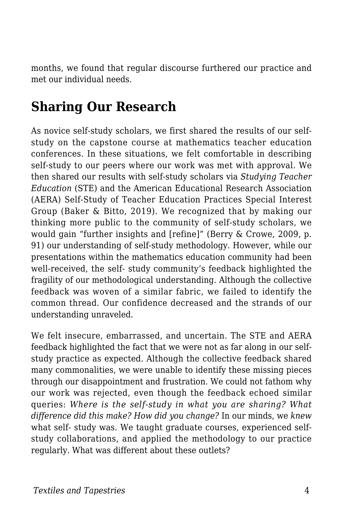months, we found that regular discourse furthered our practice and met our individual needs.

# **Sharing Our Research**

As novice self-study scholars, we first shared the results of our selfstudy on the capstone course at mathematics teacher education conferences. In these situations, we felt comfortable in describing self-study to our peers where our work was met with approval. We then shared our results with self-study scholars via *Studying Teacher Education* (STE) and the American Educational Research Association (AERA) Self-Study of Teacher Education Practices Special Interest Group (Baker & Bitto, 2019). We recognized that by making our thinking more public to the community of self-study scholars, we would gain "further insights and [refine]" (Berry & Crowe, 2009, p. 91) our understanding of self-study methodology. However, while our presentations within the mathematics education community had been well-received, the self- study community's feedback highlighted the fragility of our methodological understanding. Although the collective feedback was woven of a similar fabric, we failed to identify the common thread. Our confidence decreased and the strands of our understanding unraveled.

We felt insecure, embarrassed, and uncertain. The STE and AERA feedback highlighted the fact that we were not as far along in our selfstudy practice as expected. Although the collective feedback shared many commonalities, we were unable to identify these missing pieces through our disappointment and frustration. We could not fathom why our work was rejected, even though the feedback echoed similar queries: *Where is the self-study in what you are sharing? What difference did this make? How did you change?* In our minds, we *knew* what self- study was. We taught graduate courses, experienced selfstudy collaborations, and applied the methodology to our practice regularly. What was different about these outlets?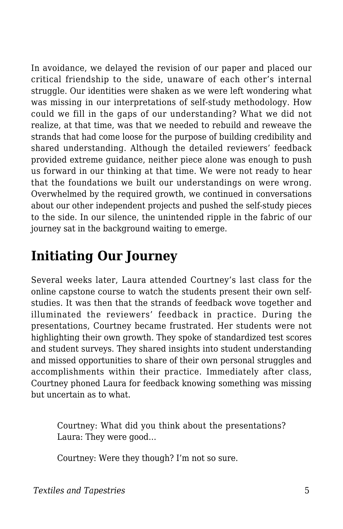In avoidance, we delayed the revision of our paper and placed our critical friendship to the side, unaware of each other's internal struggle. Our identities were shaken as we were left wondering what was missing in our interpretations of self-study methodology. How could we fill in the gaps of our understanding? What we did not realize, at that time, was that we needed to rebuild and reweave the strands that had come loose for the purpose of building credibility and shared understanding. Although the detailed reviewers' feedback provided extreme guidance, neither piece alone was enough to push us forward in our thinking at that time. We were not ready to hear that the foundations we built our understandings on were wrong. Overwhelmed by the required growth, we continued in conversations about our other independent projects and pushed the self-study pieces to the side. In our silence, the unintended ripple in the fabric of our journey sat in the background waiting to emerge.

# **Initiating Our Journey**

Several weeks later, Laura attended Courtney's last class for the online capstone course to watch the students present their own selfstudies. It was then that the strands of feedback wove together and illuminated the reviewers' feedback in practice. During the presentations, Courtney became frustrated. Her students were not highlighting their own growth. They spoke of standardized test scores and student surveys. They shared insights into student understanding and missed opportunities to share of their own personal struggles and accomplishments within their practice. Immediately after class, Courtney phoned Laura for feedback knowing something was missing but uncertain as to what.

Courtney: What did you think about the presentations? Laura: They were good…

Courtney: Were they though? I'm not so sure.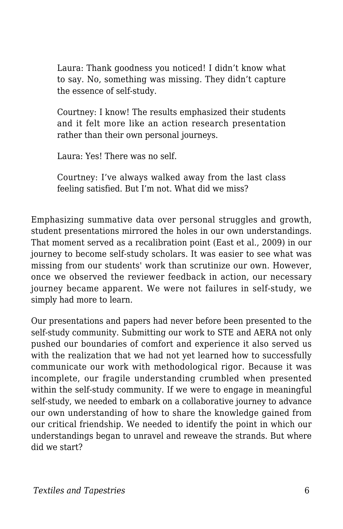Laura: Thank goodness you noticed! I didn't know what to say. No, something was missing. They didn't capture the essence of self-study.

Courtney: I know! The results emphasized their students and it felt more like an action research presentation rather than their own personal journeys.

Laura: Yes! There was no self.

Courtney: I've always walked away from the last class feeling satisfied. But I'm not. What did we miss?

Emphasizing summative data over personal struggles and growth, student presentations mirrored the holes in our own understandings. That moment served as a recalibration point (East et al., 2009) in our journey to become self-study scholars. It was easier to see what was missing from our students' work than scrutinize our own. However, once we observed the reviewer feedback in action, our necessary journey became apparent. We were not failures in self-study, we simply had more to learn.

Our presentations and papers had never before been presented to the self-study community. Submitting our work to STE and AERA not only pushed our boundaries of comfort and experience it also served us with the realization that we had not yet learned how to successfully communicate our work with methodological rigor. Because it was incomplete, our fragile understanding crumbled when presented within the self-study community. If we were to engage in meaningful self-study, we needed to embark on a collaborative journey to advance our own understanding of how to share the knowledge gained from our critical friendship. We needed to identify the point in which our understandings began to unravel and reweave the strands. But where did we start?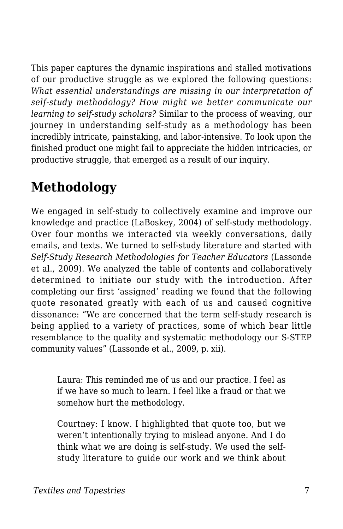This paper captures the dynamic inspirations and stalled motivations of our productive struggle as we explored the following questions: *What essential understandings are missing in our interpretation of self-study methodology? How might we better communicate our learning to self-study scholars?* Similar to the process of weaving, our journey in understanding self-study as a methodology has been incredibly intricate, painstaking, and labor-intensive. To look upon the finished product one might fail to appreciate the hidden intricacies, or productive struggle, that emerged as a result of our inquiry.

# **Methodology**

We engaged in self-study to collectively examine and improve our knowledge and practice (LaBoskey, 2004) of self-study methodology. Over four months we interacted via weekly conversations, daily emails, and texts. We turned to self-study literature and started with *Self-Study Research Methodologies for Teacher Educators* (Lassonde et al., 2009). We analyzed the table of contents and collaboratively determined to initiate our study with the introduction. After completing our first 'assigned' reading we found that the following quote resonated greatly with each of us and caused cognitive dissonance: "We are concerned that the term self-study research is being applied to a variety of practices, some of which bear little resemblance to the quality and systematic methodology our S-STEP community values" (Lassonde et al., 2009, p. xii).

Laura: This reminded me of us and our practice. I feel as if we have so much to learn. I feel like a fraud or that we somehow hurt the methodology.

Courtney: I know. I highlighted that quote too, but we weren't intentionally trying to mislead anyone. And I do think what we are doing is self-study. We used the selfstudy literature to guide our work and we think about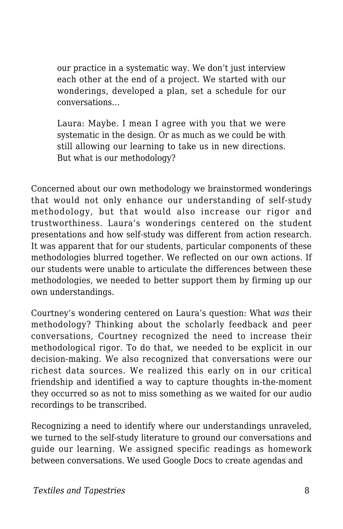our practice in a systematic way. We don't just interview each other at the end of a project. We started with our wonderings, developed a plan, set a schedule for our conversations…

Laura: Maybe. I mean I agree with you that we were systematic in the design. Or as much as we could be with still allowing our learning to take us in new directions. But what is our methodology?

Concerned about our own methodology we brainstormed wonderings that would not only enhance our understanding of self-study methodology, but that would also increase our rigor and trustworthiness. Laura's wonderings centered on the student presentations and how self-study was different from action research. It was apparent that for our students, particular components of these methodologies blurred together. We reflected on our own actions. If our students were unable to articulate the differences between these methodologies, we needed to better support them by firming up our own understandings.

Courtney's wondering centered on Laura's question: What *was* their methodology? Thinking about the scholarly feedback and peer conversations, Courtney recognized the need to increase their methodological rigor. To do that, we needed to be explicit in our decision-making. We also recognized that conversations were our richest data sources. We realized this early on in our critical friendship and identified a way to capture thoughts in-the-moment they occurred so as not to miss something as we waited for our audio recordings to be transcribed.

Recognizing a need to identify where our understandings unraveled, we turned to the self-study literature to ground our conversations and guide our learning. We assigned specific readings as homework between conversations. We used Google Docs to create agendas and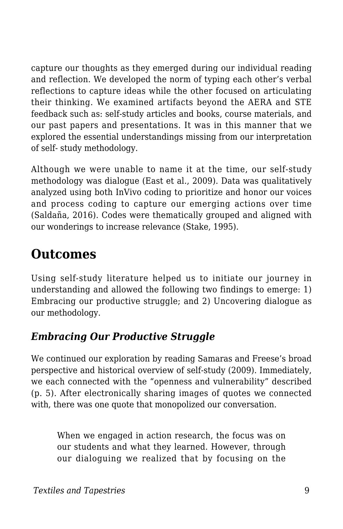capture our thoughts as they emerged during our individual reading and reflection. We developed the norm of typing each other's verbal reflections to capture ideas while the other focused on articulating their thinking. We examined artifacts beyond the AERA and STE feedback such as: self-study articles and books, course materials, and our past papers and presentations. It was in this manner that we explored the essential understandings missing from our interpretation of self- study methodology.

Although we were unable to name it at the time, our self-study methodology was dialogue (East et al., 2009). Data was qualitatively analyzed using both InVivo coding to prioritize and honor our voices and process coding to capture our emerging actions over time (Saldaña, 2016). Codes were thematically grouped and aligned with our wonderings to increase relevance (Stake, 1995).

## **Outcomes**

Using self-study literature helped us to initiate our journey in understanding and allowed the following two findings to emerge: 1) Embracing our productive struggle; and 2) Uncovering dialogue as our methodology.

#### *Embracing Our Productive Struggle*

We continued our exploration by reading Samaras and Freese's broad perspective and historical overview of self-study (2009). Immediately, we each connected with the "openness and vulnerability" described (p. 5). After electronically sharing images of quotes we connected with, there was one quote that monopolized our conversation.

When we engaged in action research, the focus was on our students and what they learned. However, through our dialoguing we realized that by focusing on the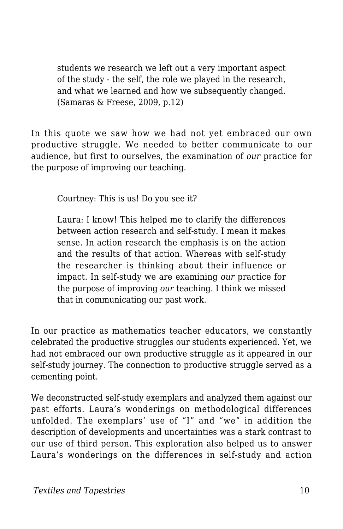students we research we left out a very important aspect of the study - the self, the role we played in the research, and what we learned and how we subsequently changed. (Samaras & Freese, 2009, p.12)

In this quote we saw how we had not yet embraced our own productive struggle. We needed to better communicate to our audience, but first to ourselves, the examination of *our* practice for the purpose of improving our teaching.

Courtney: This is us! Do you see it?

Laura: I know! This helped me to clarify the differences between action research and self-study. I mean it makes sense. In action research the emphasis is on the action and the results of that action. Whereas with self-study the researcher is thinking about their influence or impact. In self-study we are examining *our* practice for the purpose of improving *our* teaching. I think we missed that in communicating our past work.

In our practice as mathematics teacher educators, we constantly celebrated the productive struggles our students experienced. Yet, we had not embraced our own productive struggle as it appeared in our self-study journey. The connection to productive struggle served as a cementing point.

We deconstructed self-study exemplars and analyzed them against our past efforts. Laura's wonderings on methodological differences unfolded. The exemplars' use of "I" and "we" in addition the description of developments and uncertainties was a stark contrast to our use of third person. This exploration also helped us to answer Laura's wonderings on the differences in self-study and action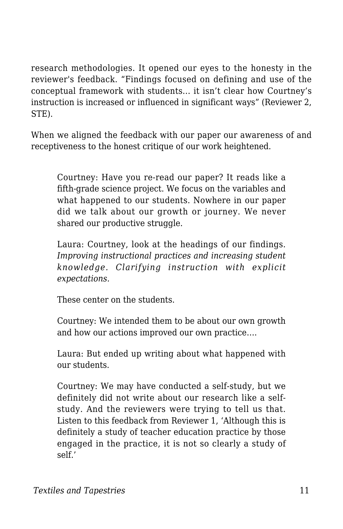research methodologies. It opened our eyes to the honesty in the reviewer's feedback. "Findings focused on defining and use of the conceptual framework with students... it isn't clear how Courtney's instruction is increased or influenced in significant ways" (Reviewer 2, STE).

When we aligned the feedback with our paper our awareness of and receptiveness to the honest critique of our work heightened.

Courtney: Have you re-read our paper? It reads like a fifth-grade science project. We focus on the variables and what happened to our students. Nowhere in our paper did we talk about our growth or journey. We never shared our productive struggle.

Laura: Courtney, look at the headings of our findings. *Improving instructional practices and increasing student knowledge. Clarifying instruction with explicit expectations.*

These center on the students.

Courtney: We intended them to be about our own growth and how our actions improved our own practice….

Laura: But ended up writing about what happened with our students.

Courtney: We may have conducted a self-study, but we definitely did not write about our research like a selfstudy. And the reviewers were trying to tell us that. Listen to this feedback from Reviewer 1, 'Although this is definitely a study of teacher education practice by those engaged in the practice, it is not so clearly a study of self.'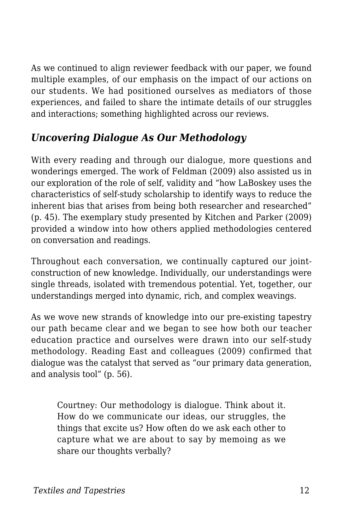As we continued to align reviewer feedback with our paper, we found multiple examples, of our emphasis on the impact of our actions on our students. We had positioned ourselves as mediators of those experiences, and failed to share the intimate details of our struggles and interactions; something highlighted across our reviews.

#### *Uncovering Dialogue As Our Methodology*

With every reading and through our dialogue, more questions and wonderings emerged. The work of Feldman (2009) also assisted us in our exploration of the role of self, validity and "how LaBoskey uses the characteristics of self-study scholarship to identify ways to reduce the inherent bias that arises from being both researcher and researched" (p. 45). The exemplary study presented by Kitchen and Parker (2009) provided a window into how others applied methodologies centered on conversation and readings.

Throughout each conversation, we continually captured our jointconstruction of new knowledge. Individually, our understandings were single threads, isolated with tremendous potential. Yet, together, our understandings merged into dynamic, rich, and complex weavings.

As we wove new strands of knowledge into our pre-existing tapestry our path became clear and we began to see how both our teacher education practice and ourselves were drawn into our self-study methodology. Reading East and colleagues (2009) confirmed that dialogue was the catalyst that served as "our primary data generation, and analysis tool" (p. 56).

Courtney: Our methodology is dialogue. Think about it. How do we communicate our ideas, our struggles, the things that excite us? How often do we ask each other to capture what we are about to say by memoing as we share our thoughts verbally?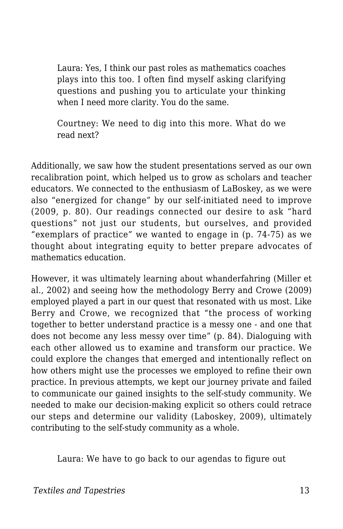Laura: Yes, I think our past roles as mathematics coaches plays into this too. I often find myself asking clarifying questions and pushing you to articulate your thinking when I need more clarity. You do the same.

Courtney: We need to dig into this more. What do we read next?

Additionally, we saw how the student presentations served as our own recalibration point, which helped us to grow as scholars and teacher educators. We connected to the enthusiasm of LaBoskey, as we were also "energized for change" by our self-initiated need to improve (2009, p. 80). Our readings connected our desire to ask "hard questions" not just our students, but ourselves, and provided "exemplars of practice" we wanted to engage in (p. 74-75) as we thought about integrating equity to better prepare advocates of mathematics education.

However, it was ultimately learning about whanderfahring (Miller et al., 2002) and seeing how the methodology Berry and Crowe (2009) employed played a part in our quest that resonated with us most. Like Berry and Crowe, we recognized that "the process of working together to better understand practice is a messy one - and one that does not become any less messy over time" (p. 84). Dialoguing with each other allowed us to examine and transform our practice. We could explore the changes that emerged and intentionally reflect on how others might use the processes we employed to refine their own practice. In previous attempts, we kept our journey private and failed to communicate our gained insights to the self-study community. We needed to make our decision-making explicit so others could retrace our steps and determine our validity (Laboskey, 2009), ultimately contributing to the self-study community as a whole.

Laura: We have to go back to our agendas to figure out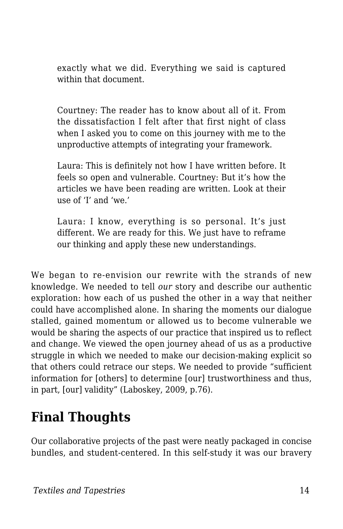exactly what we did. Everything we said is captured within that document.

Courtney: The reader has to know about all of it. From the dissatisfaction I felt after that first night of class when I asked you to come on this journey with me to the unproductive attempts of integrating your framework.

Laura: This is definitely not how I have written before. It feels so open and vulnerable. Courtney: But it's how the articles we have been reading are written. Look at their use of 'I' and 'we.'

Laura: I know, everything is so personal. It's just different. We are ready for this. We just have to reframe our thinking and apply these new understandings.

We began to re-envision our rewrite with the strands of new knowledge. We needed to tell *our* story and describe our authentic exploration: how each of us pushed the other in a way that neither could have accomplished alone. In sharing the moments our dialogue stalled, gained momentum or allowed us to become vulnerable we would be sharing the aspects of our practice that inspired us to reflect and change. We viewed the open journey ahead of us as a productive struggle in which we needed to make our decision-making explicit so that others could retrace our steps. We needed to provide "sufficient information for [others] to determine [our] trustworthiness and thus, in part, [our] validity" (Laboskey, 2009, p.76).

# **Final Thoughts**

Our collaborative projects of the past were neatly packaged in concise bundles, and student-centered. In this self-study it was our bravery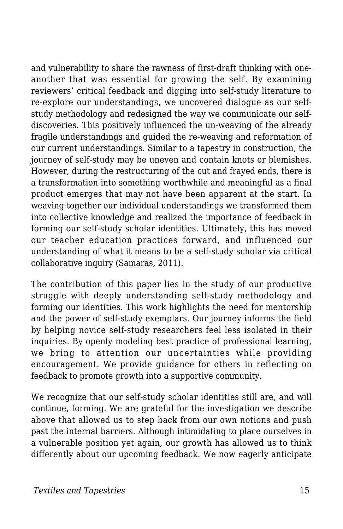and vulnerability to share the rawness of first-draft thinking with oneanother that was essential for growing the self. By examining reviewers' critical feedback and digging into self-study literature to re-explore our understandings, we uncovered dialogue as our selfstudy methodology and redesigned the way we communicate our selfdiscoveries. This positively influenced the un-weaving of the already fragile understandings and guided the re-weaving and reformation of our current understandings. Similar to a tapestry in construction, the journey of self-study may be uneven and contain knots or blemishes. However, during the restructuring of the cut and frayed ends, there is a transformation into something worthwhile and meaningful as a final product emerges that may not have been apparent at the start. In weaving together our individual understandings we transformed them into collective knowledge and realized the importance of feedback in forming our self-study scholar identities. Ultimately, this has moved our teacher education practices forward, and influenced our understanding of what it means to be a self-study scholar via critical collaborative inquiry (Samaras, 2011).

The contribution of this paper lies in the study of our productive struggle with deeply understanding self-study methodology and forming our identities. This work highlights the need for mentorship and the power of self-study exemplars. Our journey informs the field by helping novice self-study researchers feel less isolated in their inquiries. By openly modeling best practice of professional learning, we bring to attention our uncertainties while providing encouragement. We provide guidance for others in reflecting on feedback to promote growth into a supportive community.

We recognize that our self-study scholar identities still are, and will continue, forming. We are grateful for the investigation we describe above that allowed us to step back from our own notions and push past the internal barriers. Although intimidating to place ourselves in a vulnerable position yet again, our growth has allowed us to think differently about our upcoming feedback. We now eagerly anticipate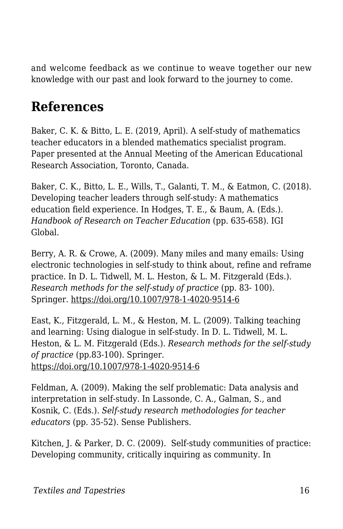and welcome feedback as we continue to weave together our new knowledge with our past and look forward to the journey to come.

# **References**

Baker, C. K. & Bitto, L. E. (2019, April). A self-study of mathematics teacher educators in a blended mathematics specialist program. Paper presented at the Annual Meeting of the American Educational Research Association, Toronto, Canada.

Baker, C. K., Bitto, L. E., Wills, T., Galanti, T. M., & Eatmon, C. (2018). Developing teacher leaders through self-study: A mathematics education field experience. In Hodges, T. E., & Baum, A. (Eds.). *Handbook of Research on Teacher Education* (pp. 635-658). IGI Global.

Berry, A. R. & Crowe, A. (2009). Many miles and many emails: Using electronic technologies in self-study to think about, refine and reframe practice. In D. L. Tidwell, M. L. Heston, & L. M. Fitzgerald (Eds.). *Research methods for the self-study of practice* (pp. 83- 100). Springer. https://doi.org/10.1007/978-1-4020-9514-6

East, K., Fitzgerald, L. M., & Heston, M. L. (2009). Talking teaching and learning: Using dialogue in self-study. In D. L. Tidwell, M. L. Heston, & L. M. Fitzgerald (Eds.). *Research methods for the self-study of practice* (pp.83-100). Springer. https://doi.org/10.1007/978-1-4020-9514-6

Feldman, A. (2009). Making the self problematic: Data analysis and interpretation in self-study. In Lassonde, C. A., Galman, S., and Kosnik, C. (Eds.). *Self-study research methodologies for teacher educators* (pp. 35-52). Sense Publishers.

Kitchen, J. & Parker, D. C. (2009). Self-study communities of practice: Developing community, critically inquiring as community. In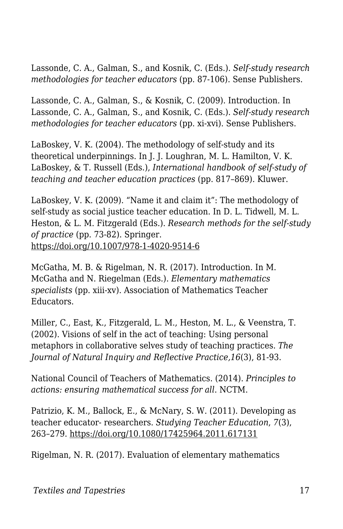Lassonde, C. A., Galman, S., and Kosnik, C. (Eds.). *Self-study research methodologies for teacher educators* (pp. 87-106). Sense Publishers.

Lassonde, C. A., Galman, S., & Kosnik, C. (2009). Introduction. In Lassonde, C. A., Galman, S., and Kosnik, C. (Eds.). *Self-study research methodologies for teacher educators* (pp. xi-xvi). Sense Publishers.

LaBoskey, V. K. (2004). The methodology of self-study and its theoretical underpinnings. In J. J. Loughran, M. L. Hamilton, V. K. LaBoskey, & T. Russell (Eds.), *International handbook of self-study of teaching and teacher education practices* (pp. 817–869). Kluwer.

LaBoskey, V. K. (2009). "Name it and claim it": The methodology of self-study as social justice teacher education. In D. L. Tidwell, M. L. Heston, & L. M. Fitzgerald (Eds.). *Research methods for the self-study of practice* (pp. 73-82). Springer. https://doi.org/10.1007/978-1-4020-9514-6

McGatha, M. B. & Rigelman, N. R. (2017). Introduction. In M. McGatha and N. Riegelman (Eds.). *Elementary mathematics specialists* (pp. xiii-xv). Association of Mathematics Teacher Educators.

Miller, C., East, K., Fitzgerald, L. M., Heston, M. L., & Veenstra, T. (2002). Visions of self in the act of teaching: Using personal metaphors in collaborative selves study of teaching practices. *The Journal of Natural Inquiry and Reflective Practice,16*(3), 81-93.

National Council of Teachers of Mathematics. (2014). *Principles to actions: ensuring mathematical success for all*. NCTM.

Patrizio, K. M., Ballock, E., & McNary, S. W. (2011). Developing as teacher educator- researchers. *Studying Teacher Education*, *7*(3), 263–279. https://doi.org/10.1080/17425964.2011.617131

Rigelman, N. R. (2017). Evaluation of elementary mathematics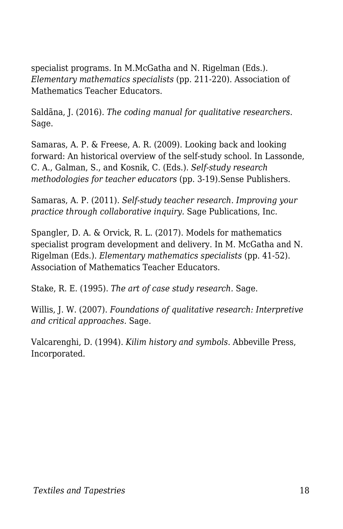specialist programs. In M.McGatha and N. Rigelman (Eds.). *Elementary mathematics specialists* (pp. 211-220). Association of Mathematics Teacher Educators.

Saldãna, J. (2016). *The coding manual for qualitative researchers*. Sage.

Samaras, A. P. & Freese, A. R. (2009). Looking back and looking forward: An historical overview of the self-study school. In Lassonde, C. A., Galman, S., and Kosnik, C. (Eds.). *Self-study research methodologies for teacher educators* (pp. 3-19).Sense Publishers.

Samaras, A. P. (2011). *Self-study teacher research. Improving your practice through collaborative inquiry.* Sage Publications, Inc.

Spangler, D. A. & Orvick, R. L. (2017). Models for mathematics specialist program development and delivery. In M. McGatha and N. Rigelman (Eds.). *Elementary mathematics specialists* (pp. 41-52). Association of Mathematics Teacher Educators.

Stake, R. E. (1995). *The art of case study research.* Sage.

Willis, J. W. (2007). *Foundations of qualitative research: Interpretive and critical approaches.* Sage.

Valcarenghi, D. (1994). *Kilim history and symbols*. Abbeville Press, Incorporated.